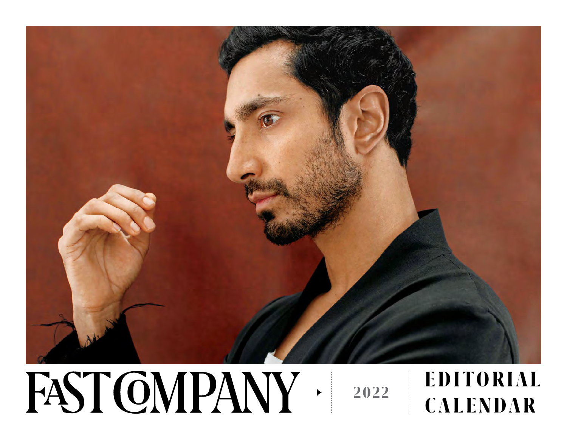

#### FAST CMPANY **E D I T O R I A L 2022CALENDAR**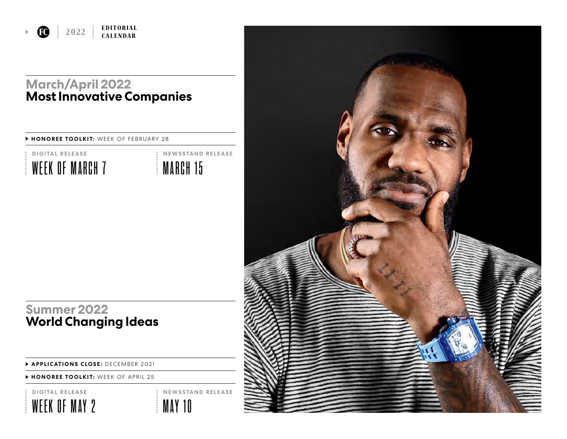

#### **March/April 2022 Most Innovative Companies**

#### **HONOREE TOOLKIT:** WEEK OF FEBRUARY 28



MARCH 15 **NEWSSTAND RELEASE**

### **Summer 2022 World Changing Ideas**

 **APPLICATIONS CLOSE:** DECEMBER 2021

 **HONOREE TOOLKIT:** WEEK OF APRIL 25

**DIGITAL RELEASE**





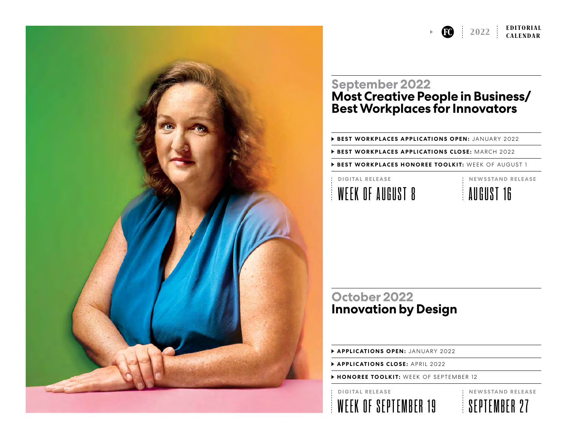# **EDITORIAL**<br>**CALENDAR**

#### **September 2022 Most Creative People in Business/ Best Workplaces for Innovators**

**BEST WORKPLACES APPLICATIONS OPEN: JANUARY 2022** 

 **BEST WORKPLACES APPLICATIONS CLOSE:** MARCH 2022

**BEST WORKPLACES HONOREE TOOLKIT:** WEEK OF AUGUST 1

## WEEK OF AUGUST 8 **DIGITAL RELEASE**

AUGUST 16 **NEWSSTAND RELEASE**

### **October 2022 Innovation by Design**

 **APPLICATIONS OPEN:** JANUARY 2022

 **APPLICATIONS CLOSE:** APRIL 2022

 **HONOREE TOOLKIT:** WEEK OF SEPTEMBER 12

#### **DIGITAL RELEASE**



**NEWSSTAND RELEASE**

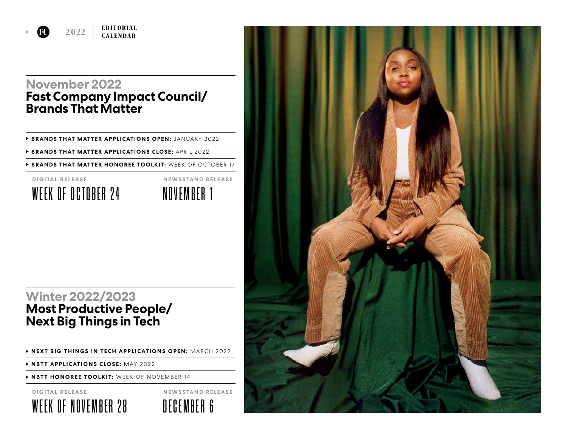**EDITORIAL**<br>**CALENDAR** 

#### **November 2022 Fast Company Impact Council/ Brands That Matter**

 **BRANDS THAT MATTER APPLICATIONS OPEN:** JANUARY 2022

 **BRANDS THAT MATTER APPLICATIONS CLOSE:** APRIL 2022

 **BRANDS THAT MATTER HONOREE TOOLKIT:** WEEK OF OCTOBER 17



NOVEMBER 1 **NEWSSTAND RELEASE**

#### **Winter 2022/2023 Most Productive People/ Next Big Things in Tech**

 **NEXT BIG THINGS IN TECH APPLICATIONS OPEN:** MARCH 2022

 **NBTT APPLICATIONS CLOSE:** MAY 2022

 **NBTT HONOREE TOOLKIT:** WEEK OF NOVEMBER 14

**DIGITAL RELEASE**